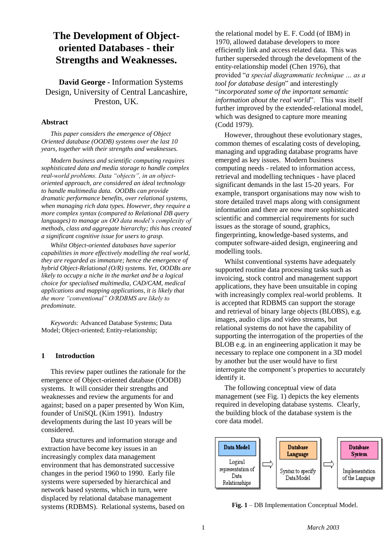# **The Development of Objectoriented Databases - their Strengths and Weaknesses.**

**David George -** Information Systems Design, University of Central Lancashire, Preston, UK.

#### **Abstract**

*This paper considers the emergence of Object Oriented database (OODB) systems over the last 10 years, together with their strengths and weaknesses.*

*Modern business and scientific computing requires sophisticated data and media storage to handle complex real-world problems. Data "objects", in an objectoriented approach, are considered an ideal technology to handle multimedia data. OODBs can provide dramatic performance benefits, over relational systems, when managing rich data types. However, they require a more complex syntax (compared to Relational DB query languages) to manage an OO data model's complexity of methods, class and aggregate hierarchy; this has created a significant cognitive issue for users to grasp.*

*Whilst Object-oriented databases have superior capabilities in more effectively modelling the real world, they are regarded as immature; hence the emergence of hybrid Object-Relational (O/R) systems. Yet, OODBs are likely to occupy a niche in the market and be a logical choice for specialised multimedia, CAD/CAM, medical applications and mapping applications, it is likely that the more "conventional" O/RDBMS are likely to predominate.*

*Keywords:* Advanced Database Systems; Data Model; Object-oriented; Entity-relationship;

## **1 Introduction**

This review paper outlines the rationale for the emergence of Object-oriented database (OODB) systems. It will consider their strengths and weaknesses and review the arguments for and against; based on a paper presented by Won Kim, founder of UniSQL (Kim 1991). Industry developments during the last 10 years will be considered.

Data structures and information storage and extraction have become key issues in an increasingly complex data management environment that has demonstrated successive changes in the period 1960 to 1990. Early file systems were superseded by hierarchical and network based systems, which in turn, were displaced by relational database management systems (RDBMS). Relational systems, based on

the relational model by E. F. Codd (of IBM) in 1970, allowed database developers to more efficiently link and access related data. This was further superseded through the development of the entity-relationship model (Chen 1976), that provided "*a special diagrammatic technique … as a tool for database design*" and interestingly "*incorporated some of the important semantic information about the real world*". This was itself further improved by the extended-relational model, which was designed to capture more meaning (Codd 1979).

However, throughout these evolutionary stages, common themes of escalating costs of developing, managing and upgrading database programs have emerged as key issues. Modern business computing needs - related to information access, retrieval and modelling techniques - have placed significant demands in the last 15-20 years. For example, transport organisations may now wish to store detailed travel maps along with consignment information and there are now more sophisticated scientific and commercial requirements for such issues as the storage of sound, graphics, fingerprinting, knowledge-based systems, and computer software-aided design, engineering and modelling tools.

Whilst conventional systems have adequately supported routine data processing tasks such as invoicing, stock control and management support applications, they have been unsuitable in coping with increasingly complex real-world problems. It is accepted that RDBMS can support the storage and retrieval of binary large objects (BLOBS), e.g. images, audio clips and video streams, but relational systems do not have the capability of supporting the interrogation of the properties of the BLOB e.g. in an engineering application it may be necessary to replace one component in a 3D model by another but the user would have to first interrogate the component's properties to accurately identify it.

The following conceptual view of data management (see Fig. 1) depicts the key elements required in developing database systems. Clearly, the building block of the database system is the core data model.



**Fig. 1** – DB Implementation Conceptual Model.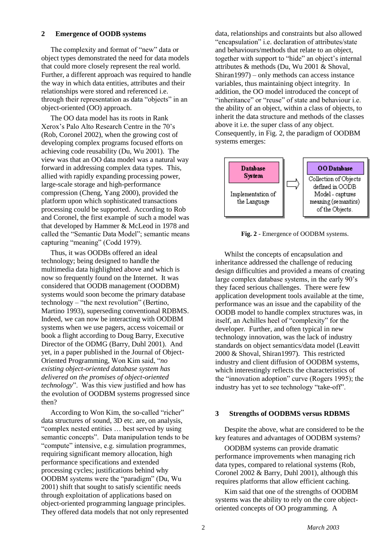#### **2 Emergence of OODB systems**

The complexity and format of "new" data or object types demonstrated the need for data models that could more closely represent the real world. Further, a different approach was required to handle the way in which data entities, attributes and their relationships were stored and referenced i.e. through their representation as data "objects" in an object-oriented (OO) approach.

The OO data model has its roots in Rank Xerox's Palo Alto Research Centre in the 70's (Rob, Coronel 2002), when the growing cost of developing complex programs focused efforts on achieving code reusability (Du, Wu 2001). The view was that an OO data model was a natural way forward in addressing complex data types. This, allied with rapidly expanding processing power, large-scale storage and high-performance compression (Cheng, Yang 2000), provided the platform upon which sophisticated transactions processing could be supported. According to Rob and Coronel, the first example of such a model was that developed by Hammer & McLeod in 1978 and called the "Semantic Data Model"; semantic means capturing "meaning" (Codd 1979).

Thus, it was OODBs offered an ideal technology; being designed to handle the multimedia data highlighted above and which is now so frequently found on the Internet. It was considered that OODB management (OODBM) systems would soon become the primary database technology – "the next revolution" (Bertino, Martino 1993), superseding conventional RDBMS. Indeed, we can now be interacting with OODBM systems when we use pagers, access voicemail or book a flight according to Doug Barry, Executive Director of the ODMG (Barry, Duhl 2001). And yet, in a paper published in the Journal of Object-Oriented Programming, Won Kim said, "*no existing object-oriented database system has delivered on the promises of object-oriented technology*". Was this view justified and how has the evolution of OODBM systems progressed since then?

According to Won Kim, the so-called "richer" data structures of sound, 3D etc. are, on analysis, "complex nested entities … best served by using semantic concepts". Data manipulation tends to be "compute" intensive, e.g. simulation programmes, requiring significant memory allocation, high performance specifications and extended processing cycles; justifications behind why OODBM systems were the "paradigm" (Du, Wu 2001) shift that sought to satisfy scientific needs through exploitation of applications based on object-oriented programming language principles. They offered data models that not only represented

data, relationships and constraints but also allowed "encapsulation" i.e. declaration of attributes/state and behaviours/methods that relate to an object, together with support to "hide" an object's internal attributes & methods (Du, Wu 2001 & Shoval, Shiran1997) – only methods can access instance variables, thus maintaining object integrity. In addition, the OO model introduced the concept of "inheritance" or "reuse" of state and behaviour *i.e.* the ability of an object, within a class of objects, to inherit the data structure and methods of the classes above it i.e. the super class of any object. Consequently, in Fig. 2, the paradigm of OODBM systems emerges:



**Fig. 2** - Emergence of OODBM systems.

Whilst the concepts of encapsulation and inheritance addressed the challenge of reducing design difficulties and provided a means of creating large complex database systems, in the early 90's they faced serious challenges. There were few application development tools available at the time, performance was an issue and the capability of the OODB model to handle complex structures was, in itself, an Achilles heel of "complexity" for the developer. Further, and often typical in new technology innovation, was the lack of industry standards on object semantics/data model (Leavitt 2000 & Shoval, Shiran1997). This restricted industry and client diffusion of OODBM systems, which interestingly reflects the characteristics of the "innovation adoption" curve (Rogers 1995); the industry has yet to see technology "take-off".

### **3 Strengths of OODBMS versus RDBMS**

Despite the above, what are considered to be the key features and advantages of OODBM systems?

OODBM systems can provide dramatic performance improvements when managing rich data types, compared to relational systems (Rob, Coronel 2002 & Barry, Duhl 2001), although this requires platforms that allow efficient caching.

Kim said that one of the strengths of OODBM systems was the ability to rely on the core objectoriented concepts of OO programming. A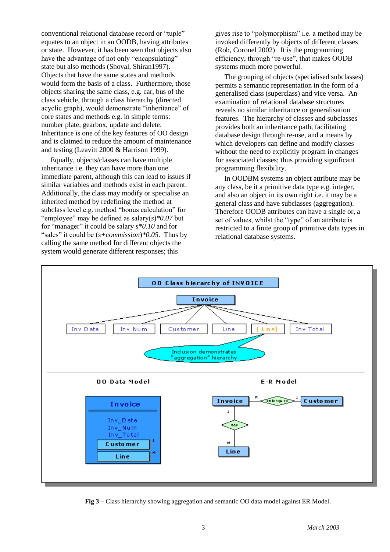conventional relational database record or "tuple" equates to an object in an OODB, having attributes or state. However, it has been seen that objects also have the advantage of not only "encapsulating" state but also methods (Shoval, Shiran1997). Objects that have the same states and methods would form the basis of a class. Furthermore, those objects sharing the same class, e.g. car, bus of the class vehicle, through a class hierarchy (directed acyclic graph), would demonstrate "inheritance" of core states and methods e.g. in simple terms: number plate, gearbox, update and delete. Inheritance is one of the key features of OO design and is claimed to reduce the amount of maintenance and testing (Leavitt 2000 & Harrison 1999).

Equally, objects/classes can have multiple inheritance i.e. they can have more than one immediate parent, although this can lead to issues if similar variables and methods exist in each parent. Additionally, the class may modify or specialise an inherited method by redefining the method at subclass level e.g. method "bonus calculation" for "employee" may be defined as salary(*s*)*\*0.07* but for "manager" it could be salary *s\*0.10* and for "sales" it could be (*s+commission*)*\*0.05*. Thus by calling the same method for different objects the system would generate different responses; this

gives rise to "polymorphism" i.e. a method may be invoked differently by objects of different classes (Rob, Coronel 2002). It is the programming efficiency, through "re-use", that makes OODB systems much more powerful.

The grouping of objects (specialised subclasses) permits a semantic representation in the form of a generalised class (superclass) and vice versa. An examination of relational database structures reveals no similar inheritance or generalisation features. The hierarchy of classes and subclasses provides both an inheritance path, facilitating database design through re-use, and a means by which developers can define and modify classes without the need to explicitly program in changes for associated classes; thus providing significant programming flexibility.

In OODBM systems an object attribute may be any class, be it a primitive data type e.g. integer, and also an object in its own right i.e. it may be a general class and have subclasses (aggregation). Therefore OODB attributes can have a single or, a set of values, whilst the "type" of an attribute is restricted to a finite group of primitive data types in relational database systems.



**Fig 3** – Class hierarchy showing aggregation and semantic OO data model against ER Model.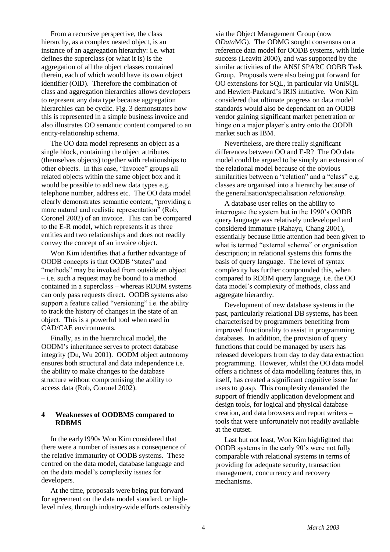From a recursive perspective, the class hierarchy, as a complex nested object, is an instance of an aggregation hierarchy: i.e. what defines the superclass (or what it is) is the aggregation of all the object classes contained therein, each of which would have its own object identifier (OID). Therefore the combination of class and aggregation hierarchies allows developers to represent any data type because aggregation hierarchies can be cyclic. Fig. 3 demonstrates how this is represented in a simple business invoice and also illustrates OO semantic content compared to an entity-relationship schema.

The OO data model represents an object as a single block, containing the object attributes (themselves objects) together with relationships to other objects. In this case, "Invoice" groups all related objects within the same object box and it would be possible to add new data types e.g. telephone number, address etc. The OO data model clearly demonstrates semantic content, "providing a more natural and realistic representation" (Rob, Coronel 2002) of an invoice. This can be compared to the E-R model, which represents it as three entities and two relationships and does not readily convey the concept of an invoice object.

Won Kim identifies that a further advantage of OODB concepts is that OODB "states" and "methods" may be invoked from outside an object – i.e. such a request may be bound to a method contained in a superclass – whereas RDBM systems can only pass requests direct. OODB systems also support a feature called "versioning" i.e. the ability to track the history of changes in the state of an object. This is a powerful tool when used in CAD/CAE environments.

Finally, as in the hierarchical model, the OODM's inheritance serves to protect database integrity (Du, Wu 2001). OODM object autonomy ensures both structural and data independence i.e. the ability to make changes to the database structure without compromising the ability to access data (Rob, Coronel 2002).

## **4 Weaknesses of OODBMS compared to RDBMS**

In the early1990s Won Kim considered that there were a number of issues as a consequence of the relative immaturity of OODB systems. These centred on the data model, database language and on the data model's complexity issues for developers.

At the time, proposals were being put forward for agreement on the data model standard, or highlevel rules, through industry-wide efforts ostensibly via the Object Management Group (now O*Data*MG). The ODMG sought consensus on a reference data model for OODB systems, with little success (Leavitt 2000), and was supported by the similar activities of the ANSI SPARC OOBB Task Group. Proposals were also being put forward for OO extensions for SQL, in particular via UniSQL and Hewlett-Packard's IRIS initiative. Won Kim considered that ultimate progress on data model standards would also be dependant on an OODB vendor gaining significant market penetration or hinge on a major player's entry onto the OODB market such as IBM.

Nevertheless, are there really significant differences between OO and E-R? The OO data model could be argued to be simply an extension of the relational model because of the obvious similarities between a "relation" and a "class" e.g. classes are organised into a hierarchy because of the generalisation/specialisation *relationship*.

A database user relies on the ability to interrogate the system but in the 1990's OODB query language was relatively undeveloped and considered immature (Rahayu, Chang 2001), essentially because little attention had been given to what is termed "external schema" or organisation description; in relational systems this forms the basis of query language. The level of syntax complexity has further compounded this, when compared to RDBM query language, i.e. the OO data model's complexity of methods, class and aggregate hierarchy.

Development of new database systems in the past, particularly relational DB systems, has been characterised by programmers benefiting from improved functionality to assist in programming databases. In addition, the provision of query functions that could be managed by users has released developers from day to day data extraction programming. However, whilst the OO data model offers a richness of data modelling features this, in itself, has created a significant cognitive issue for users to grasp. This complexity demanded the support of friendly application development and design tools, for logical and physical database creation, and data browsers and report writers – tools that were unfortunately not readily available at the outset.

Last but not least, Won Kim highlighted that OODB systems in the early 90's were not fully comparable with relational systems in terms of providing for adequate security, transaction management, concurrency and recovery mechanisms.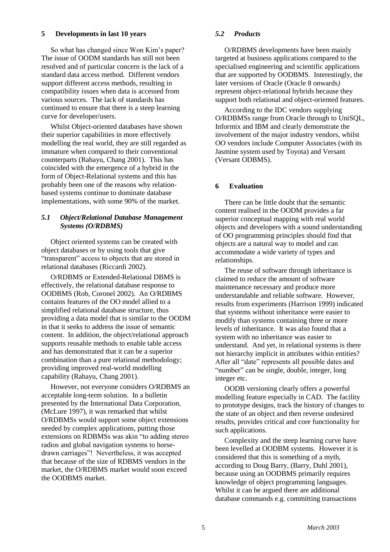### **5 Developments in last 10 years**

So what has changed since Won Kim's paper? The issue of OODM standards has still not been resolved and of particular concern is the lack of a standard data access method. Different vendors support different access methods, resulting in compatibility issues when data is accessed from various sources. The lack of standards has continued to ensure that there is a steep learning curve for developer/users.

Whilst Object-oriented databases have shown their superior capabilities in more effectively modelling the real world, they are still regarded as immature when compared to their conventional counterparts (Rahayu, Chang 2001). This has coincided with the emergence of a hybrid in the form of Object-Relational systems and this has probably been one of the reasons why relationbased systems continue to dominate database implementations, with some 90% of the market.

## *5.1 Object/Relational Database Management Systems (O/RDBMS)*

Object oriented systems can be created with object databases or by using tools that give "transparent" access to objects that are stored in relational databases (Riccardi 2002).

O/RDBMS or Extended-Relational DBMS is effectively, the relational database response to OODBMS (Rob, Coronel 2002). An O/RDBMS contains features of the OO model allied to a simplified relational database structure, thus providing a data model that is similar to the OODM in that it seeks to address the issue of semantic content. In addition, the object/relational approach supports reusable methods to enable table access and has demonstrated that it can be a superior combination than a pure relational methodology; providing improved real-world modelling capability (Rahayu, Chang 2001).

However, not everyone considers O/RDBMS an acceptable long-term solution. In a bulletin presented by the International Data Corporation, (McLure 1997), it was remarked that whilst O/RDBMSs would support some object extensions needed by complex applications, putting those extensions on RDBMSs was akin "to adding stereo radios and global navigation systems to horsedrawn carriages"! Nevertheless, it was accepted that because of the size of RDBMS vendors in the market, the O/RDBMS market would soon exceed the OODBMS market.

## *5.2 Products*

O/RDBMS developments have been mainly targeted at business applications compared to the specialised engineering and scientific applications that are supported by OODBMS. Interestingly, the later versions of Oracle (Oracle 8 onwards*)*  represent object-relational hybrids because they support both relational and object-oriented features.

According to the IDC vendors supplying O/RDBMSs range from Oracle through to UniSQL, Informix and IBM and clearly demonstrate the involvement of the major industry vendors, whilst OO vendors include Computer Associates (with its Jasmine system used by Toyota) and Versant (Versant ODBMS).

# **6 Evaluation**

There can be little doubt that the semantic content realised in the OODM provides a far superior conceptual mapping with real world objects and developers with a sound understanding of OO programming principles should find that objects are a natural way to model and can accommodate a wide variety of types and relationships.

The reuse of software through inheritance is claimed to reduce the amount of software maintenance necessary and produce more understandable and reliable software. However, results from experiments (Harrison 1999) indicated that systems without inheritance were easier to modify than systems containing three or more levels of inheritance. It was also found that a system with no inheritance was easier to understand. And yet, in relational systems is there not hierarchy implicit in attributes within entities? After all "date" represents all possible dates and "number" can be single, double, integer, long integer etc.

OODB versioning clearly offers a powerful modelling feature especially in CAD. The facility to prototype designs, track the history of changes to the state of an object and then reverse undesired results, provides critical and core functionality for such applications.

Complexity and the steep learning curve have been levelled at OODBM systems. However it is considered that this is something of a myth, according to Doug Barry, (Barry, Duhl 2001), because using an OODBMS primarily requires knowledge of object programming languages. Whilst it can be argued there are additional database commands e.g. committing transactions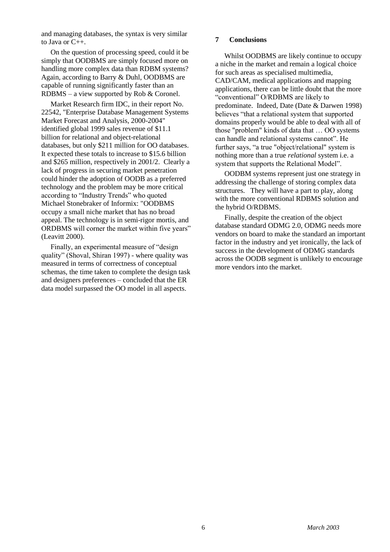and managing databases, the syntax is very similar to Java or C++.

On the question of processing speed, could it be simply that OODBMS are simply focused more on handling more complex data than RDBM systems? Again, according to Barry & Duhl, OODBMS are capable of running significantly faster than an RDBMS – a view supported by Rob & Coronel.

Market Research firm IDC, in their report No. 22542, "Enterprise Database Management Systems Market Forecast and Analysis, 2000-2004" identified global 1999 sales revenue of \$11.1 billion for relational and object-relational databases, but only \$211 million for OO databases. It expected these totals to increase to \$15.6 billion and \$265 million, respectively in 2001/2. Clearly a lack of progress in securing market penetration could hinder the adoption of OODB as a preferred technology and the problem may be more critical according to "Industry Trends" who quoted Michael Stonebraker of Informix: "OODBMS occupy a small niche market that has no broad appeal. The technology is in semi-rigor mortis, and ORDBMS will corner the market within five years" (Leavitt 2000).

Finally, an experimental measure of "design quality" (Shoval, Shiran 1997) - where quality was measured in terms of correctness of conceptual schemas, the time taken to complete the design task and designers preferences – concluded that the ER data model surpassed the OO model in all aspects.

# **7 Conclusions**

Whilst OODBMS are likely continue to occupy a niche in the market and remain a logical choice for such areas as specialised multimedia, CAD/CAM, medical applications and mapping applications, there can be little doubt that the more "conventional" O/RDBMS are likely to predominate. Indeed, Date (Date & Darwen 1998) believes "that a relational system that supported domains properly would be able to deal with all of those "problem" kinds of data that … OO systems can handle and relational systems cannot". He further says, "a true "object/relational" system is nothing more than a true *relational* system i.e. a system that supports the Relational Model".

OODBM systems represent just one strategy in addressing the challenge of storing complex data structures. They will have a part to play, along with the more conventional RDBMS solution and the hybrid O/RDBMS.

Finally, despite the creation of the object database standard ODMG 2.0, ODMG needs more vendors on board to make the standard an important factor in the industry and yet ironically, the lack of success in the development of ODMG standards across the OODB segment is unlikely to encourage more vendors into the market.